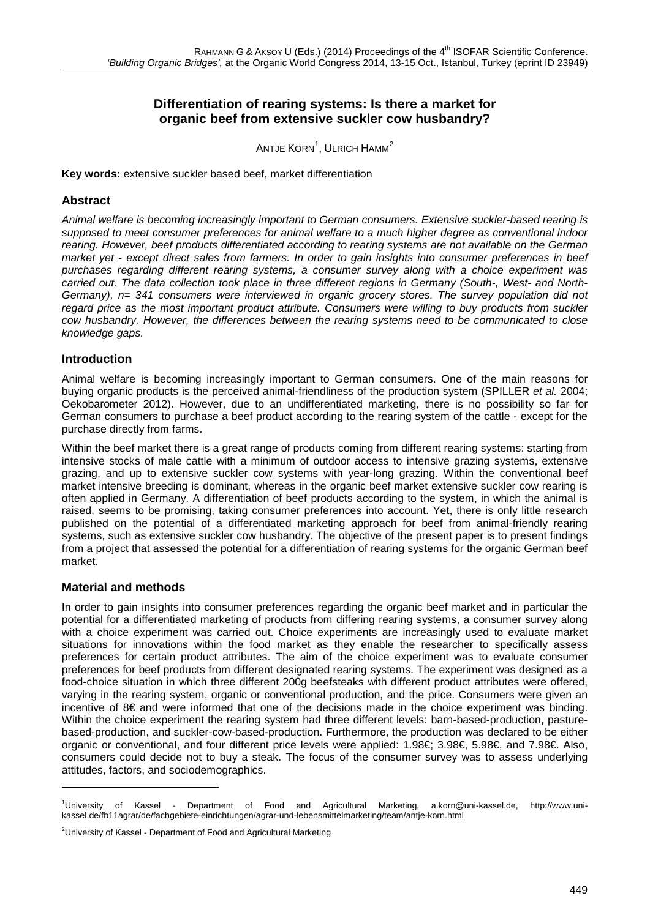# **Differentiation of rearing systems: Is there a market for organic beef from extensive suckler cow husbandry?**

Antje Korn $^1$  $^1$ , Ulrich Hamm $^2$  $^2$ 

**Key words:** extensive suckler based beef, market differentiation

### **Abstract**

*Animal welfare is becoming increasingly important to German consumers. Extensive suckler-based rearing is supposed to meet consumer preferences for animal welfare to a much higher degree as conventional indoor rearing. However, beef products differentiated according to rearing systems are not available on the German market yet - except direct sales from farmers. In order to gain insights into consumer preferences in beef purchases regarding different rearing systems, a consumer survey along with a choice experiment was carried out. The data collection took place in three different regions in Germany (South-, West- and North-Germany), n= 341 consumers were interviewed in organic grocery stores. The survey population did not regard price as the most important product attribute. Consumers were willing to buy products from suckler cow husbandry. However, the differences between the rearing systems need to be communicated to close knowledge gaps.* 

#### **Introduction**

Animal welfare is becoming increasingly important to German consumers. One of the main reasons for buying organic products is the perceived animal-friendliness of the production system (SPILLER *et al.* 2004; Oekobarometer 2012). However, due to an undifferentiated marketing, there is no possibility so far for German consumers to purchase a beef product according to the rearing system of the cattle - except for the purchase directly from farms.

Within the beef market there is a great range of products coming from different rearing systems: starting from intensive stocks of male cattle with a minimum of outdoor access to intensive grazing systems, extensive grazing, and up to extensive suckler cow systems with year-long grazing. Within the conventional beef market intensive breeding is dominant, whereas in the organic beef market extensive suckler cow rearing is often applied in Germany. A differentiation of beef products according to the system, in which the animal is raised, seems to be promising, taking consumer preferences into account. Yet, there is only little research published on the potential of a differentiated marketing approach for beef from animal-friendly rearing systems, such as extensive suckler cow husbandry. The objective of the present paper is to present findings from a project that assessed the potential for a differentiation of rearing systems for the organic German beef market.

#### **Material and methods**

-

In order to gain insights into consumer preferences regarding the organic beef market and in particular the potential for a differentiated marketing of products from differing rearing systems, a consumer survey along with a choice experiment was carried out. Choice experiments are increasingly used to evaluate market situations for innovations within the food market as they enable the researcher to specifically assess preferences for certain product attributes. The aim of the choice experiment was to evaluate consumer preferences for beef products from different designated rearing systems. The experiment was designed as a food-choice situation in which three different 200g beefsteaks with different product attributes were offered, varying in the rearing system, organic or conventional production, and the price. Consumers were given an incentive of 8€ and were informed that one of the decisions made in the choice experiment was binding. Within the choice experiment the rearing system had three different levels: barn-based-production, pasturebased-production, and suckler-cow-based-production. Furthermore, the production was declared to be either organic or conventional, and four different price levels were applied: 1.98€; 3.98€, 5.98€, and 7.98€. Also, consumers could decide not to buy a steak. The focus of the consumer survey was to assess underlying attitudes, factors, and sociodemographics.

<span id="page-0-0"></span><sup>1</sup> University of Kassel - Department of Food and Agricultural Marketing, [a.korn@uni-kassel.de,](mailto:a.korn@uni-kassel.de) [http://www.uni](http://www.uni-kassel.de/fb11agrar/de/fachgebiete-einrichtungen/agrar-und-lebensmittelmarketing/team/antje-korn.html)[kassel.de/fb11agrar/de/fachgebiete-einrichtungen/agrar-und-lebensmittelmarketing/team/antje-korn.html](http://www.uni-kassel.de/fb11agrar/de/fachgebiete-einrichtungen/agrar-und-lebensmittelmarketing/team/antje-korn.html)

<span id="page-0-1"></span><sup>&</sup>lt;sup>2</sup>University of Kassel - Department of Food and Agricultural Marketing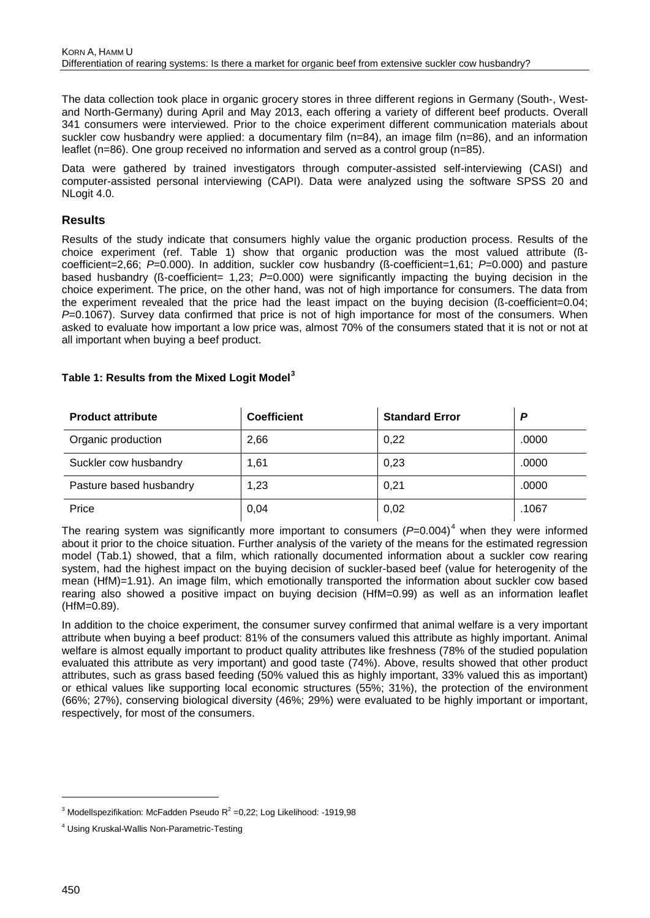The data collection took place in organic grocery stores in three different regions in Germany (South-, Westand North-Germany) during April and May 2013, each offering a variety of different beef products. Overall 341 consumers were interviewed. Prior to the choice experiment different communication materials about suckler cow husbandry were applied: a documentary film (n=84), an image film (n=86), and an information leaflet (n=86). One group received no information and served as a control group (n=85).

Data were gathered by trained investigators through computer-assisted self-interviewing (CASI) and computer-assisted personal interviewing (CAPI). Data were analyzed using the software SPSS 20 and NLogit 4.0.

## **Results**

Results of the study indicate that consumers highly value the organic production process. Results of the choice experiment (ref. Table 1) show that organic production was the most valued attribute (ßcoefficient=2,66; *P*=0.000). In addition, suckler cow husbandry (ß-coefficient=1,61; *P*=0.000) and pasture based husbandry (ß-coefficient= 1,23; *P*=0.000) were significantly impacting the buying decision in the choice experiment. The price, on the other hand, was not of high importance for consumers. The data from the experiment revealed that the price had the least impact on the buying decision (ß-coefficient=0.04; *P*=0.1067). Survey data confirmed that price is not of high importance for most of the consumers. When asked to evaluate how important a low price was, almost 70% of the consumers stated that it is not or not at all important when buying a beef product.

## **Table 1: Results from the Mixed Logit Model[3](#page-1-0)**

| <b>Product attribute</b> | <b>Coefficient</b> | <b>Standard Error</b> | P     |
|--------------------------|--------------------|-----------------------|-------|
| Organic production       | 2,66               | 0,22                  | .0000 |
| Suckler cow husbandry    | 1,61               | 0,23                  | .0000 |
| Pasture based husbandry  | 1,23               | 0,21                  | .0000 |
| Price                    | 0,04               | 0,02                  | .1067 |

The rearing system was significantly more important to consumers  $(P=0.004)^4$  $(P=0.004)^4$  $(P=0.004)^4$  when they were informed about it prior to the choice situation. Further analysis of the variety of the means for the estimated regression model (Tab.1) showed, that a film, which rationally documented information about a suckler cow rearing system, had the highest impact on the buying decision of suckler-based beef (value for heterogenity of the mean (HfM)=1.91). An image film, which emotionally transported the information about suckler cow based rearing also showed a positive impact on buying decision (HfM=0.99) as well as an information leaflet (HfM=0.89).

In addition to the choice experiment, the consumer survey confirmed that animal welfare is a very important attribute when buying a beef product: 81% of the consumers valued this attribute as highly important. Animal welfare is almost equally important to product quality attributes like freshness (78% of the studied population evaluated this attribute as very important) and good taste (74%). Above, results showed that other product attributes, such as grass based feeding (50% valued this as highly important, 33% valued this as important) or ethical values like supporting local economic structures (55%; 31%), the protection of the environment (66%; 27%), conserving biological diversity (46%; 29%) were evaluated to be highly important or important, respectively, for most of the consumers.

-

<span id="page-1-0"></span> $3$  Modellspezifikation: McFadden Pseudo R $2$  =0,22; Log Likelihood: -1919,98

<span id="page-1-1"></span><sup>4</sup> Using Kruskal-Wallis Non-Parametric-Testing